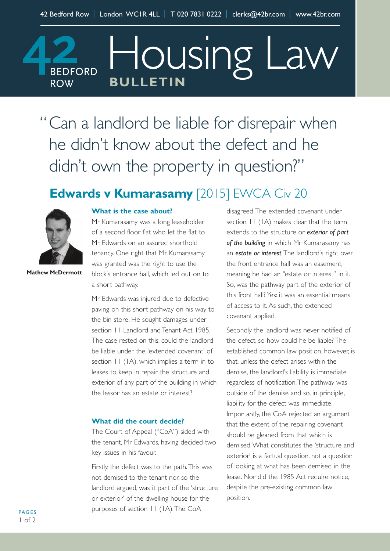Housing Law **BEDFORD BULLETIN ROW** 

"Can a landlord be liable for disrepair when he didn 't know about the defect and he didn 't own the property in question?"

## **Edwards v Kumarasamy** [2015] EWCA Civ 20



**Mathew McDermott**

## **What is the case about?**

Mr Kumarasamy was a long leaseholder of a second floor flat who let the flat to Mr Edwards on an assured shorthold tenancy. One right that Mr Kumarasamy was granted was the right to use the block's entrance hall, which led out on to a short pathway.

Mr Edwards was injured due to defective paving on this short pathway on his way to the bin store. He sought damages under section 11 Landlord and Tenant Act 1985. The case rested on this: could the landlord be liable under the 'extended covenant' of section  $II$  (IA), which implies a term in to leases to keep in repair the structure and exterior of any part of the building in which the lessor has an estate or interest?

## **What did the court decide?**

The Court of Appeal ("CoA") sided with the tenant, Mr Edwards, having decided two key issues in his favour.

Firstly, the defect was to the path.This was not demised to the tenant nor, so the landlord argued, was it part of the 'structure or exterior' of the dwelling-house for the purposes of section 11 (1A).The CoA

disagreed.The extended covenant under section  $11$  (1A) makes clear that the term extends to the structure or *exterior of part of the building* in which Mr Kumarasamy has an *estate or interest*.The landlord's right over the front entrance hall was an easement, meaning he had an "estate or interest" in it. So, was the pathway part of the exterior of this front hall? Yes: it was an essential means of access to it.As such, the extended covenant applied.

Secondly the landlord was never notified of the defect, so how could he be liable? The established common law position, however, is that, unless the defect arises within the demise, the landlord's liability is immediate regardless of notification.The pathway was outside of the demise and so, in principle, liability for the defect was immediate. Importantly, the CoA rejected an argument that the extent of the repairing covenant should be gleaned from that which is demised.What constitutes the 'structure and exterior' is a factual question, not a question of looking at what has been demised in the lease. Nor did the 1985 Act require notice. despite the pre-existing common law position.